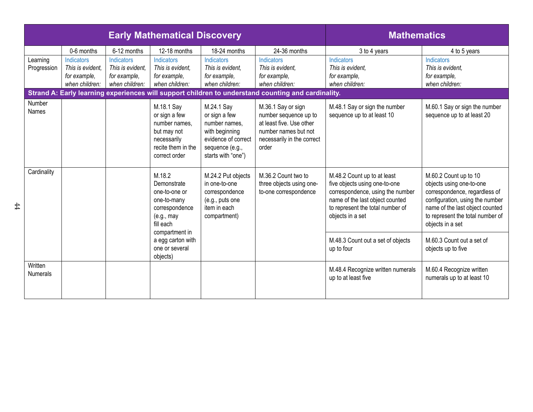| <b>Early Mathematical Discovery</b> |                                                                  |                                                                  |                                                                                                                       |                                                                                                                                | <b>Mathematics</b>                                                                                                                     |                                                                                                                                                                                             |                                                                                                                                                                                                                  |
|-------------------------------------|------------------------------------------------------------------|------------------------------------------------------------------|-----------------------------------------------------------------------------------------------------------------------|--------------------------------------------------------------------------------------------------------------------------------|----------------------------------------------------------------------------------------------------------------------------------------|---------------------------------------------------------------------------------------------------------------------------------------------------------------------------------------------|------------------------------------------------------------------------------------------------------------------------------------------------------------------------------------------------------------------|
|                                     | 0-6 months                                                       | 6-12 months                                                      | 12-18 months                                                                                                          | 18-24 months                                                                                                                   | 24-36 months                                                                                                                           | 3 to 4 years                                                                                                                                                                                | 4 to 5 years                                                                                                                                                                                                     |
| Learning<br>Progression             | Indicators<br>This is evident.<br>for example,<br>when children: | Indicators<br>This is evident.<br>for example,<br>when children: | <b>Indicators</b><br>This is evident.<br>for example,<br>when children:                                               | <b>Indicators</b><br>This is evident.<br>for example,<br>when children:                                                        | <b>Indicators</b><br>This is evident.<br>for example,<br>when children:                                                                | <b>Indicators</b><br>This is evident.<br>for example,<br>when children:                                                                                                                     | Indicators<br>This is evident.<br>for example,<br>when children:                                                                                                                                                 |
|                                     |                                                                  |                                                                  |                                                                                                                       |                                                                                                                                | Strand A: Early learning experiences will support children to understand counting and cardinality.                                     |                                                                                                                                                                                             |                                                                                                                                                                                                                  |
| Number<br><b>Names</b>              |                                                                  |                                                                  | M.18.1 Say<br>or sign a few<br>number names.<br>but may not<br>necessarily<br>recite them in the<br>correct order     | M.24.1 Say<br>or sign a few<br>number names.<br>with beginning<br>evidence of correct<br>sequence (e.g.,<br>starts with "one") | M.36.1 Say or sign<br>number sequence up to<br>at least five. Use other<br>number names but not<br>necessarily in the correct<br>order | M.48.1 Say or sign the number<br>sequence up to at least 10                                                                                                                                 | M.60.1 Say or sign the number<br>sequence up to at least 20                                                                                                                                                      |
| Cardinality                         |                                                                  |                                                                  | M.18.2<br>Demonstrate<br>one-to-one or<br>one-to-many<br>correspondence<br>(e.g., may)<br>fill each<br>compartment in | M.24.2 Put objects<br>in one-to-one<br>correspondence<br>(e.g., puts one<br>item in each<br>compartment)                       | M.36.2 Count two to<br>three objects using one-<br>to-one correspondence                                                               | M.48.2 Count up to at least<br>five objects using one-to-one<br>correspondence, using the number<br>name of the last object counted<br>to represent the total number of<br>objects in a set | M.60.2 Count up to 10<br>objects using one-to-one<br>correspondence, regardless of<br>configuration, using the number<br>name of the last object counted<br>to represent the total number of<br>objects in a set |
|                                     |                                                                  | objects)                                                         | a egg carton with<br>one or several                                                                                   |                                                                                                                                |                                                                                                                                        | M.48.3 Count out a set of objects<br>up to four                                                                                                                                             | M.60.3 Count out a set of<br>objects up to five                                                                                                                                                                  |
| Written<br><b>Numerals</b>          |                                                                  |                                                                  |                                                                                                                       |                                                                                                                                |                                                                                                                                        | M.48.4 Recognize written numerals<br>up to at least five                                                                                                                                    | M.60.4 Recognize written<br>numerals up to at least 10                                                                                                                                                           |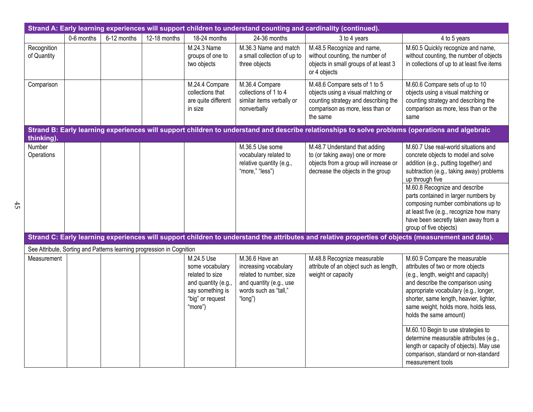| Strand A: Early learning experiences will support children to understand counting and cardinality (continued).                                                |            |             |                                                                       |                                                                                                                            |                                                                                                                                   |                                                                                                                                                             |                                                                                                                                                                                                                                                                                                                                                                                                                  |  |
|---------------------------------------------------------------------------------------------------------------------------------------------------------------|------------|-------------|-----------------------------------------------------------------------|----------------------------------------------------------------------------------------------------------------------------|-----------------------------------------------------------------------------------------------------------------------------------|-------------------------------------------------------------------------------------------------------------------------------------------------------------|------------------------------------------------------------------------------------------------------------------------------------------------------------------------------------------------------------------------------------------------------------------------------------------------------------------------------------------------------------------------------------------------------------------|--|
|                                                                                                                                                               | 0-6 months | 6-12 months | 12-18 months                                                          | 18-24 months                                                                                                               | 24-36 months                                                                                                                      | 3 to 4 years                                                                                                                                                | 4 to 5 years                                                                                                                                                                                                                                                                                                                                                                                                     |  |
| Recognition<br>of Quantity                                                                                                                                    |            |             |                                                                       | M.24.3 Name<br>groups of one to<br>two objects                                                                             | M.36.3 Name and match<br>a small collection of up to<br>three objects                                                             | M.48.5 Recognize and name,<br>without counting, the number of<br>objects in small groups of at least 3<br>or 4 objects                                      | M.60.5 Quickly recognize and name,<br>without counting, the number of objects<br>in collections of up to at least five items                                                                                                                                                                                                                                                                                     |  |
| Comparison                                                                                                                                                    |            |             |                                                                       | M.24.4 Compare<br>collections that<br>are quite different<br>in size                                                       | M.36.4 Compare<br>collections of 1 to 4<br>similar items verbally or<br>nonverbally                                               | M.48.6 Compare sets of 1 to 5<br>objects using a visual matching or<br>counting strategy and describing the<br>comparison as more, less than or<br>the same | M.60.6 Compare sets of up to 10<br>objects using a visual matching or<br>counting strategy and describing the<br>comparison as more, less than or the<br>same                                                                                                                                                                                                                                                    |  |
| Strand B: Early learning experiences will support children to understand and describe relationships to solve problems (operations and algebraic<br>thinking). |            |             |                                                                       |                                                                                                                            |                                                                                                                                   |                                                                                                                                                             |                                                                                                                                                                                                                                                                                                                                                                                                                  |  |
| Number<br>Operations                                                                                                                                          |            |             |                                                                       |                                                                                                                            | M.36.5 Use some<br>vocabulary related to<br>relative quantity (e.g.,<br>"more," "less")                                           | M.48.7 Understand that adding<br>to (or taking away) one or more<br>objects from a group will increase or<br>decrease the objects in the group              | M.60.7 Use real-world situations and<br>concrete objects to model and solve<br>addition (e.g., putting together) and<br>subtraction (e.g., taking away) problems<br>up through five<br>M.60.8 Recognize and describe<br>parts contained in larger numbers by<br>composing number combinations up to<br>at least five (e.g., recognize how many<br>have been secretly taken away from a<br>group of five objects) |  |
|                                                                                                                                                               |            |             |                                                                       |                                                                                                                            |                                                                                                                                   | Strand C: Early learning experiences will support children to understand the attributes and relative properties of objects (measurement and data).          |                                                                                                                                                                                                                                                                                                                                                                                                                  |  |
|                                                                                                                                                               |            |             | See Attribute, Sorting and Patterns learning progression in Cognition |                                                                                                                            |                                                                                                                                   |                                                                                                                                                             |                                                                                                                                                                                                                                                                                                                                                                                                                  |  |
| Measurement                                                                                                                                                   |            |             |                                                                       | M.24.5 Use<br>some vocabulary<br>related to size<br>and quantity (e.g.,<br>say something is<br>"big" or request<br>"more") | M.36.6 Have an<br>increasing vocabulary<br>related to number, size<br>and quantity (e.g., use<br>words such as "tall,"<br>"long") | M.48.8 Recognize measurable<br>attribute of an object such as length,<br>weight or capacity                                                                 | M.60.9 Compare the measurable<br>attributes of two or more objects<br>(e.g., length, weight and capacity)<br>and describe the comparison using<br>appropriate vocabulary (e.g., longer,<br>shorter, same length, heavier, lighter,<br>same weight, holds more, holds less,<br>holds the same amount)                                                                                                             |  |
|                                                                                                                                                               |            |             |                                                                       |                                                                                                                            |                                                                                                                                   |                                                                                                                                                             | M.60.10 Begin to use strategies to<br>determine measurable attributes (e.g.,<br>length or capacity of objects). May use<br>comparison, standard or non-standard<br>measurement tools                                                                                                                                                                                                                             |  |